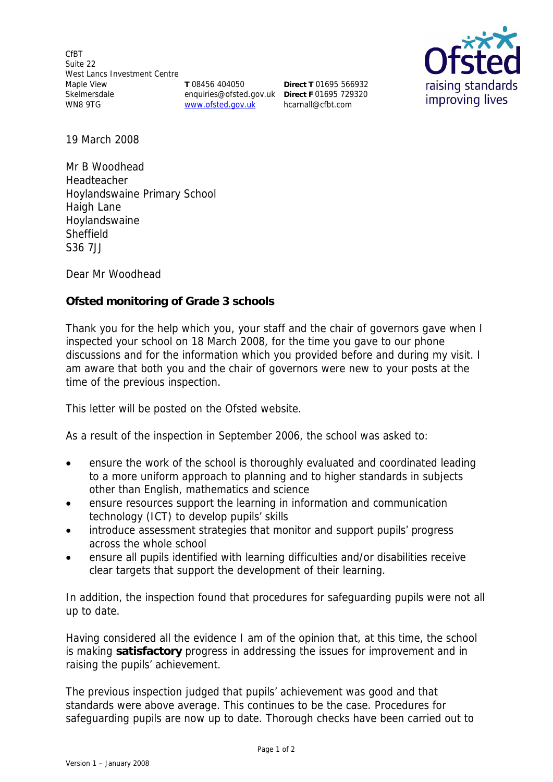CfBT Suite 22 West Lancs Investment Centre Maple View Skelmersdale WN8 9TG **T** 08456 404050

enquiries@ofsted.gov.uk **Direct F** 01695 729320 www.ofsted.gov.uk

**Direct T** 01695 566932 hcarnall@cfbt.com



19 March 2008

Mr B Woodhead Headteacher Hoylandswaine Primary School Haigh Lane Hoylandswaine Sheffield S36 7JJ

Dear Mr Woodhead

**Ofsted monitoring of Grade 3 schools** 

Thank you for the help which you, your staff and the chair of governors gave when I inspected your school on 18 March 2008, for the time you gave to our phone discussions and for the information which you provided before and during my visit. I am aware that both you and the chair of governors were new to your posts at the time of the previous inspection.

This letter will be posted on the Ofsted website.

As a result of the inspection in September 2006, the school was asked to:

- ensure the work of the school is thoroughly evaluated and coordinated leading to a more uniform approach to planning and to higher standards in subjects other than English, mathematics and science
- ensure resources support the learning in information and communication technology (ICT) to develop pupils' skills
- introduce assessment strategies that monitor and support pupils' progress across the whole school
- ensure all pupils identified with learning difficulties and/or disabilities receive clear targets that support the development of their learning.

In addition, the inspection found that procedures for safeguarding pupils were not all up to date.

Having considered all the evidence I am of the opinion that, at this time, the school is making **satisfactory** progress in addressing the issues for improvement and in raising the pupils' achievement.

The previous inspection judged that pupils' achievement was good and that standards were above average. This continues to be the case. Procedures for safeguarding pupils are now up to date. Thorough checks have been carried out to